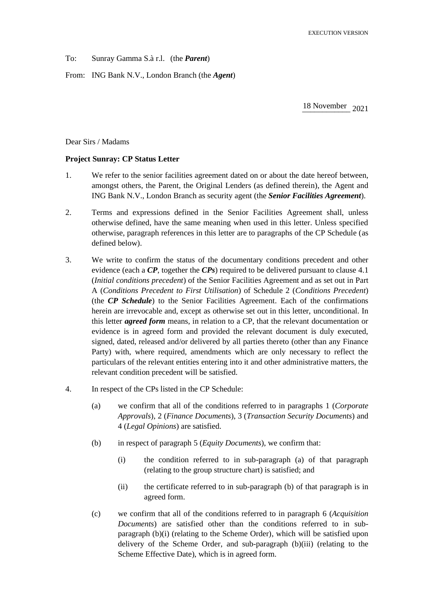To: Sunray Gamma S.à r.l. (the *Parent*)

From: ING Bank N.V., London Branch (the *Agent*)

18 November 2021

Dear Sirs / Madams

## **Project Sunray: CP Status Letter**

- 1. We refer to the senior facilities agreement dated on or about the date hereof between, amongst others, the Parent, the Original Lenders (as defined therein), the Agent and ING Bank N.V., London Branch as security agent (the *Senior Facilities Agreement*).
- 2. Terms and expressions defined in the Senior Facilities Agreement shall, unless otherwise defined, have the same meaning when used in this letter. Unless specified otherwise, paragraph references in this letter are to paragraphs of the CP Schedule (as defined below).
- 3. We write to confirm the status of the documentary conditions precedent and other evidence (each a *CP*, together the *CPs*) required to be delivered pursuant to clause 4.1 (*Initial conditions precedent*) of the Senior Facilities Agreement and as set out in Part A (*Conditions Precedent to First Utilisation*) of Schedule 2 (*Conditions Precedent*) (the *CP Schedule*) to the Senior Facilities Agreement. Each of the confirmations herein are irrevocable and, except as otherwise set out in this letter, unconditional. In this letter *agreed form* means, in relation to a CP, that the relevant documentation or evidence is in agreed form and provided the relevant document is duly executed, signed, dated, released and/or delivered by all parties thereto (other than any Finance Party) with, where required, amendments which are only necessary to reflect the particulars of the relevant entities entering into it and other administrative matters, the relevant condition precedent will be satisfied.
- 4. In respect of the CPs listed in the CP Schedule:
	- (a) we confirm that all of the conditions referred to in paragraphs 1 (*Corporate Approvals*), 2 (*Finance Documents*), 3 (*Transaction Security Documents*) and 4 (*Legal Opinions*) are satisfied.
	- (b) in respect of paragraph 5 (*Equity Documents*), we confirm that:
		- (i) the condition referred to in sub-paragraph (a) of that paragraph (relating to the group structure chart) is satisfied; and
		- (ii) the certificate referred to in sub-paragraph (b) of that paragraph is in agreed form.
	- (c) we confirm that all of the conditions referred to in paragraph 6 (*Acquisition Documents*) are satisfied other than the conditions referred to in subparagraph (b)(i) (relating to the Scheme Order), which will be satisfied upon delivery of the Scheme Order, and sub-paragraph (b)(iii) (relating to the Scheme Effective Date), which is in agreed form.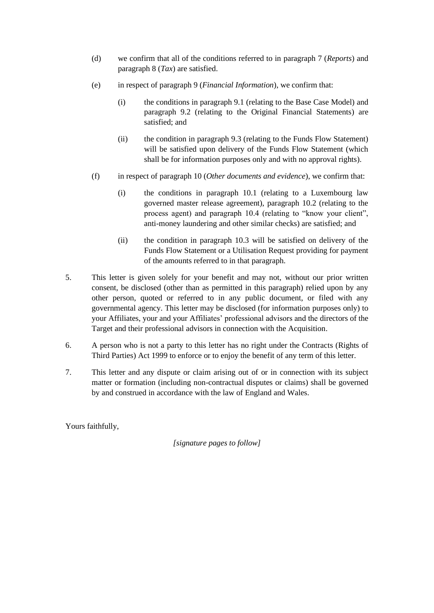- (d) we confirm that all of the conditions referred to in paragraph 7 (*Reports*) and paragraph 8 (*Tax*) are satisfied.
- (e) in respect of paragraph 9 (*Financial Information*), we confirm that:
	- (i) the conditions in paragraph 9.1 (relating to the Base Case Model) and paragraph 9.2 (relating to the Original Financial Statements) are satisfied; and
	- (ii) the condition in paragraph 9.3 (relating to the Funds Flow Statement) will be satisfied upon delivery of the Funds Flow Statement (which shall be for information purposes only and with no approval rights).
- (f) in respect of paragraph 10 (*Other documents and evidence*), we confirm that:
	- (i) the conditions in paragraph 10.1 (relating to a Luxembourg law governed master release agreement), paragraph 10.2 (relating to the process agent) and paragraph 10.4 (relating to "know your client", anti-money laundering and other similar checks) are satisfied; and
	- (ii) the condition in paragraph 10.3 will be satisfied on delivery of the Funds Flow Statement or a Utilisation Request providing for payment of the amounts referred to in that paragraph.
- 5. This letter is given solely for your benefit and may not, without our prior written consent, be disclosed (other than as permitted in this paragraph) relied upon by any other person, quoted or referred to in any public document, or filed with any governmental agency. This letter may be disclosed (for information purposes only) to your Affiliates, your and your Affiliates' professional advisors and the directors of the Target and their professional advisors in connection with the Acquisition.
- 6. A person who is not a party to this letter has no right under the Contracts (Rights of Third Parties) Act 1999 to enforce or to enjoy the benefit of any term of this letter.
- 7. This letter and any dispute or claim arising out of or in connection with its subject matter or formation (including non-contractual disputes or claims) shall be governed by and construed in accordance with the law of England and Wales.

Yours faithfully,

*[signature pages to follow]*